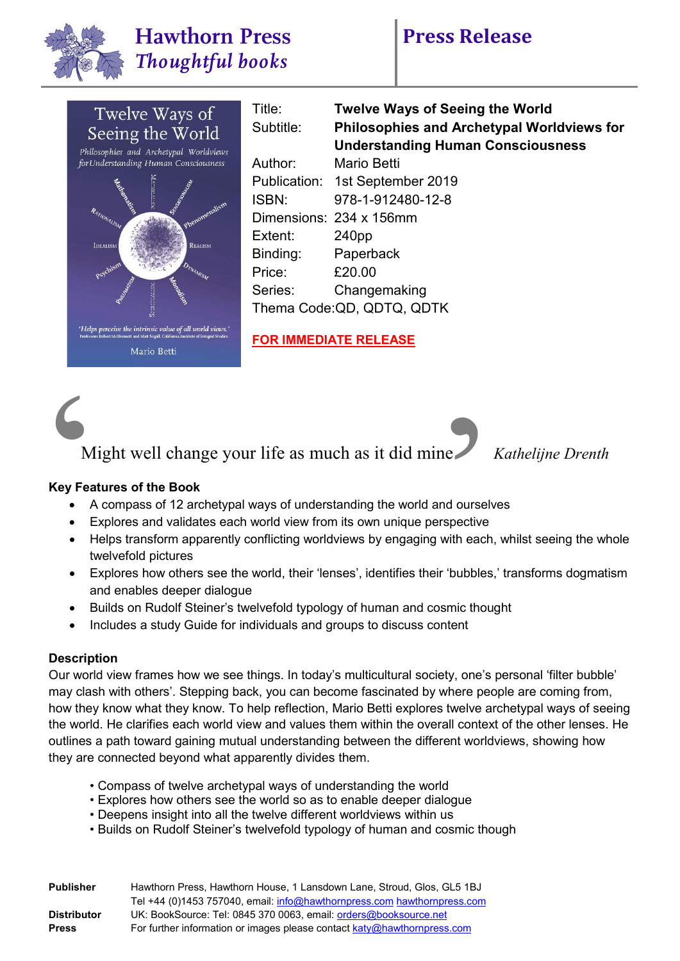



Title: **Twelve Ways of Seeing the World** Subtitle: **Philosophies and Archetypal Worldviews for Understanding Human Consciousness** Author: Mario Betti Publication: 1st September 2019 ISBN: 978-1-912480-12-8 Dimensions: 234 x 156mm Extent: 240pp Binding: Paperback Price: £20.00 Series: Changemaking Thema Code:QD, QDTQ, QDTK

**FOR IMMEDIATE RELEASE**



*Kathelijne Drenth* 

### **Key Features of the Book**

- A compass of 12 archetypal ways of understanding the world and ourselves
- Explores and validates each world view from its own unique perspective
- Helps transform apparently conflicting worldviews by engaging with each, whilst seeing the whole twelvefold pictures
- Explores how others see the world, their 'lenses', identifies their 'bubbles,' transforms dogmatism and enables deeper dialogue
- Builds on Rudolf Steiner's twelvefold typology of human and cosmic thought
- Includes a study Guide for individuals and groups to discuss content

### **Description**

Our world view frames how we see things. In today's multicultural society, one's personal 'filter bubble' may clash with others'. Stepping back, you can become fascinated by where people are coming from, how they know what they know. To help reflection, Mario Betti explores twelve archetypal ways of seeing the world. He clarifies each world view and values them within the overall context of the other lenses. He outlines a path toward gaining mutual understanding between the different worldviews, showing how they are connected beyond what apparently divides them.

- Compass of twelve archetypal ways of understanding the world
- Explores how others see the world so as to enable deeper dialogue
- Deepens insight into all the twelve different worldviews within us
- Builds on Rudolf Steiner's twelvefold typology of human and cosmic though